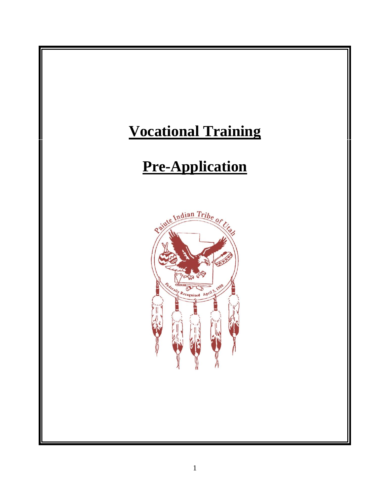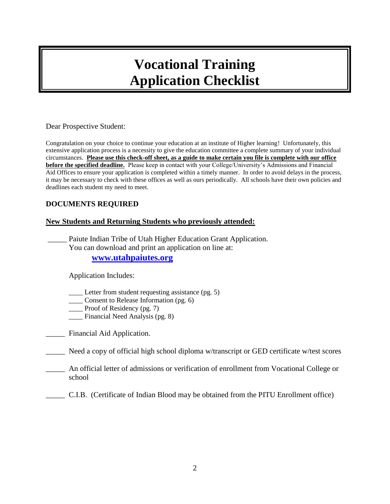### **Vocational Training Application Checklist**

#### Dear Prospective Student:

Congratulation on your choice to continue your education at an institute of Higher learning! Unfortunately, this extensive application process is a necessity to give the education committee a complete summary of your individual circumstances. **Please use this check-off sheet, as a guide to make certain you file is complete with our office before the specified deadline.** Please keep in contact with your College/University's Admissions and Financial Aid Offices to ensure your application is completed within a timely manner. In order to avoid delays in the process, it may be necessary to check with these offices as well as ours periodically. All schools have their own policies and deadlines each student my need to meet.

#### **DOCUMENTS REQUIRED**

#### **New Students and Returning Students who previously attended:**

Paiute Indian Tribe of Utah Higher Education Grant Application. You can download and print an application on line at: **[www.utahpaiutes.org](http://www.utahpaiutes.org/)**

Application Includes:

Letter from student requesting assistance (pg. 5)

\_\_\_\_ Consent to Release Information (pg. 6)

\_\_\_\_ Proof of Residency (pg. 7)

Financial Need Analysis (pg. 8)

Financial Aid Application.

\_\_\_\_\_ Need a copy of official high school diploma w/transcript or GED certificate w/test scores

\_\_\_\_\_ An official letter of admissions or verification of enrollment from Vocational College or school

\_\_\_\_\_ C.I.B. (Certificate of Indian Blood may be obtained from the PITU Enrollment office)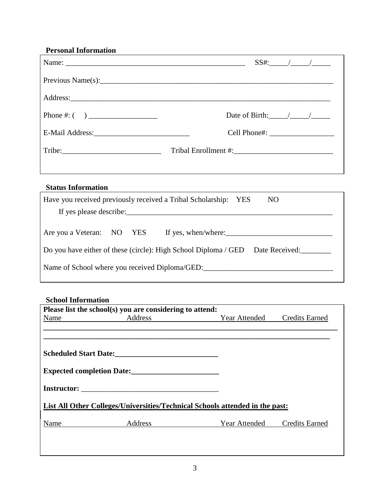| <b>Personal Information</b>                                                                                                                                                                            |                         |
|--------------------------------------------------------------------------------------------------------------------------------------------------------------------------------------------------------|-------------------------|
|                                                                                                                                                                                                        |                         |
|                                                                                                                                                                                                        |                         |
|                                                                                                                                                                                                        |                         |
|                                                                                                                                                                                                        | Date of Birth: $\angle$ |
|                                                                                                                                                                                                        |                         |
| Tribe:                                                                                                                                                                                                 |                         |
| <b>Status Information</b>                                                                                                                                                                              |                         |
| Have you received previously received a Tribal Scholarship: YES                                                                                                                                        | NO <sub>1</sub>         |
|                                                                                                                                                                                                        |                         |
| Are you a Veteran: NO YES If yes, when/where: 1988 1998 Men/where:<br>Do you have either of these (circle): High School Diploma / GED Date Received:<br>Name of School where you received Diploma/GED: |                         |
|                                                                                                                                                                                                        |                         |

#### **School Information**

 $\overline{\phantom{a}}$ 

|      | Please list the school(s) you are considering to attend: |                                                                              |                       |
|------|----------------------------------------------------------|------------------------------------------------------------------------------|-----------------------|
| Name | Address                                                  | <b>Year Attended</b>                                                         | <b>Credits Earned</b> |
|      |                                                          |                                                                              |                       |
|      |                                                          |                                                                              |                       |
|      | <b>Scheduled Start Date:</b>                             |                                                                              |                       |
|      | Expected completion Date:                                |                                                                              |                       |
|      |                                                          |                                                                              |                       |
|      |                                                          | List All Other Colleges/Universities/Technical Schools attended in the past: |                       |
| Name | Address                                                  | Year Attended                                                                | <b>Credits Earned</b> |
|      |                                                          |                                                                              |                       |
|      |                                                          |                                                                              |                       |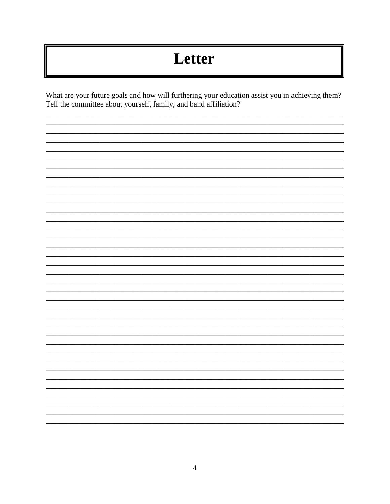# Letter

What are your future goals and how will furthering your education assist you in achieving them? Tell the committee about yourself, family, and band affiliation?

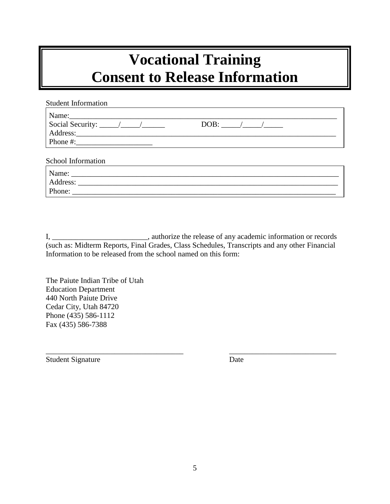### **Vocational Training Consent to Release Information**

| <b>Student Information</b>            |  |
|---------------------------------------|--|
|                                       |  |
| Social Security: $\frac{\sqrt{2}}{2}$ |  |
|                                       |  |
|                                       |  |
|                                       |  |
| School Information                    |  |
|                                       |  |
|                                       |  |
|                                       |  |

I, \_\_\_\_\_\_\_\_\_\_\_\_\_\_\_\_\_\_\_\_\_\_\_\_\_\_\_\_, authorize the release of any academic information or records (such as: Midterm Reports, Final Grades, Class Schedules, Transcripts and any other Financial Information to be released from the school named on this form:

\_\_\_\_\_\_\_\_\_\_\_\_\_\_\_\_\_\_\_\_\_\_\_\_\_\_\_\_\_\_\_\_\_\_\_\_ \_\_\_\_\_\_\_\_\_\_\_\_\_\_\_\_\_\_\_\_\_\_\_\_\_\_\_\_

The Paiute Indian Tribe of Utah Education Department 440 North Paiute Drive Cedar City, Utah 84720 Phone (435) 586-1112 Fax (435) 586-7388

Student Signature Date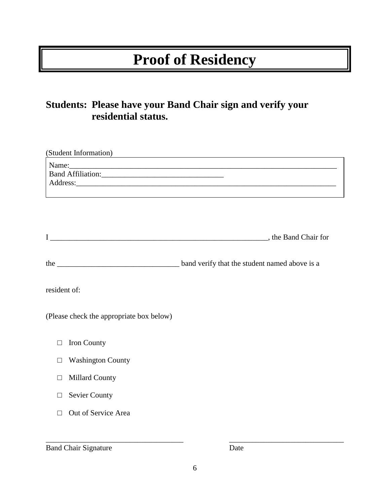## **Proof of Residency**

### **Students: Please have your Band Chair sign and verify your residential status.**

| (Student Information)                    | <u> 1980 - Johann John Stone, fransk politik (f. 1980)</u>                                                                                                                                                                          |
|------------------------------------------|-------------------------------------------------------------------------------------------------------------------------------------------------------------------------------------------------------------------------------------|
| Name:                                    | Address: <u>Address:</u> Address: Address: Address: Address: Address: Address: Address: Address: Address: Address: Address: Address: Address: Address: Address: Address: Address: Address: Address: Address: Address: Address: Addr |
|                                          |                                                                                                                                                                                                                                     |
|                                          |                                                                                                                                                                                                                                     |
|                                          |                                                                                                                                                                                                                                     |
| resident of:                             |                                                                                                                                                                                                                                     |
| (Please check the appropriate box below) |                                                                                                                                                                                                                                     |
| Iron County<br>□                         |                                                                                                                                                                                                                                     |
| <b>Washington County</b><br>П            |                                                                                                                                                                                                                                     |
| <b>Millard County</b><br>П               |                                                                                                                                                                                                                                     |
| <b>Sevier County</b><br>□                |                                                                                                                                                                                                                                     |
| Out of Service Area<br>П                 |                                                                                                                                                                                                                                     |

Band Chair Signature Date

\_\_\_\_\_\_\_\_\_\_\_\_\_\_\_\_\_\_\_\_\_\_\_\_\_\_\_\_\_\_\_\_\_\_\_\_ \_\_\_\_\_\_\_\_\_\_\_\_\_\_\_\_\_\_\_\_\_\_\_\_\_\_\_\_\_\_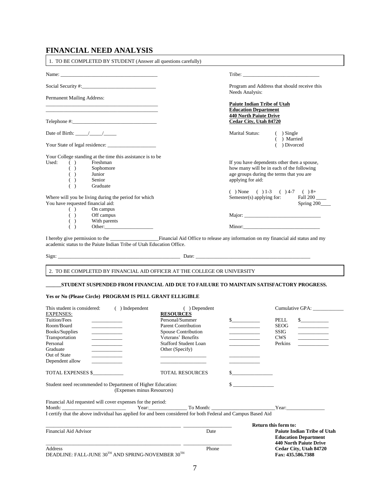### **FINANCIAL NEED ANALYSIS**

| Program and Address that should receive this                                                                                                                                                                                  |  |
|-------------------------------------------------------------------------------------------------------------------------------------------------------------------------------------------------------------------------------|--|
| Needs Analysis:                                                                                                                                                                                                               |  |
| <b>Paiute Indian Tribe of Utah</b>                                                                                                                                                                                            |  |
| <b>Education Department</b>                                                                                                                                                                                                   |  |
| <b>440 North Paiute Drive</b>                                                                                                                                                                                                 |  |
| <b>Cedar City, Utah 84720</b>                                                                                                                                                                                                 |  |
| Marital Status:<br>$( )$ Single<br>( ) Married                                                                                                                                                                                |  |
| $( )$ Divorced                                                                                                                                                                                                                |  |
|                                                                                                                                                                                                                               |  |
| If you have dependents other then a spouse,                                                                                                                                                                                   |  |
| how many will be in each of the following                                                                                                                                                                                     |  |
| age groups during the terms that you are                                                                                                                                                                                      |  |
| applying for aid:                                                                                                                                                                                                             |  |
|                                                                                                                                                                                                                               |  |
| ( ) None ( ) 1-3 ( ) 4-7 ( ) 8+                                                                                                                                                                                               |  |
| Semester(s) applying for: $\qquad \qquad$ Fall 200 $\qquad$                                                                                                                                                                   |  |
| Spring 200                                                                                                                                                                                                                    |  |
|                                                                                                                                                                                                                               |  |
|                                                                                                                                                                                                                               |  |
|                                                                                                                                                                                                                               |  |
|                                                                                                                                                                                                                               |  |
|                                                                                                                                                                                                                               |  |
|                                                                                                                                                                                                                               |  |
| Sign: Date: Date: Date: Date: Date: Date: Date: Date: Date: Date: Date: Date: Date: Date: Date: Date: Date: Date: Date: Date: Date: Date: Date: Date: Date: Date: Date: Date: Date: Date: Date: Date: Date: Date: Date: Date: |  |
|                                                                                                                                                                                                                               |  |

#### **Yes or No (Please Circle) PROGRAM IS PELL GRANT ELLIGIBLE**

| This student is considered:<br>Independent                                                                                                                                                                                                             | ( ) Dependent                                                                                                                                                                                                                  |   | Cumulative GPA:                                                                                                                                                                                                                                                                                                                                                                                                                                                     |
|--------------------------------------------------------------------------------------------------------------------------------------------------------------------------------------------------------------------------------------------------------|--------------------------------------------------------------------------------------------------------------------------------------------------------------------------------------------------------------------------------|---|---------------------------------------------------------------------------------------------------------------------------------------------------------------------------------------------------------------------------------------------------------------------------------------------------------------------------------------------------------------------------------------------------------------------------------------------------------------------|
| <b>EXPENSES:</b>                                                                                                                                                                                                                                       | <b>RESOURCES</b>                                                                                                                                                                                                               |   |                                                                                                                                                                                                                                                                                                                                                                                                                                                                     |
| Tuition/Fees                                                                                                                                                                                                                                           | Personal/Summer                                                                                                                                                                                                                | s | s<br>PELL                                                                                                                                                                                                                                                                                                                                                                                                                                                           |
| Room/Board<br>the control of the control of                                                                                                                                                                                                            | <b>Parent Contribution</b>                                                                                                                                                                                                     |   | <b>SEOG</b>                                                                                                                                                                                                                                                                                                                                                                                                                                                         |
| Books/Supplies<br><u> The Community of the Community of the Community of the Community of the Community of the Community of the Community of the Community of the Community of the Community of the Community of the Community of the Community of</u> | Spouse Contribution                                                                                                                                                                                                            |   | <b>SSIG</b><br>________________                                                                                                                                                                                                                                                                                                                                                                                                                                     |
| Transportation                                                                                                                                                                                                                                         | Veterans' Benefits                                                                                                                                                                                                             |   | <b>CWS</b><br>$\begin{tabular}{ccccc} \multicolumn{2}{c }{\textbf{1} & \multicolumn{2}{c }{\textbf{2} & \multicolumn{2}{c }{\textbf{3} & \multicolumn{2}{c }{\textbf{4} & \multicolumn{2}{c }{\textbf{5} & \multicolumn{2}{c }{\textbf{6} & \multicolumn{2}{c }{\textbf{6} & \multicolumn{2}{c }{\textbf{6} & \multicolumn{2}{c }{\textbf{6} & \multicolumn{2}{c }{\textbf{6} & \multicolumn{2}{c }{\textbf{6} & \multicolumn{2}{c }{\textbf{6} & \multicolumn{2}{$ |
| Personal<br><u> De Carlos de Carlos de Carlos de Carlos de Carlos de Carlos de Carlos de Carlos de Carlos de Carlos de Carlos de Carlos de Carlos de Carlos de Carlos de Carlos de Carlos de Carlos de Carlos de Carlos de Carlos de Carlos </u>       | <b>Stafford Student Loan</b>                                                                                                                                                                                                   |   | Perkins<br><u> 1986 - Albert Store, Amerikaansk kon</u>                                                                                                                                                                                                                                                                                                                                                                                                             |
| Graduate<br><b>Contract Contract Contract</b>                                                                                                                                                                                                          | Other (Specify)                                                                                                                                                                                                                |   |                                                                                                                                                                                                                                                                                                                                                                                                                                                                     |
| Out of State<br>the control of the con-                                                                                                                                                                                                                |                                                                                                                                                                                                                                |   |                                                                                                                                                                                                                                                                                                                                                                                                                                                                     |
| Dependent allow                                                                                                                                                                                                                                        | the control of the control of the control of                                                                                                                                                                                   |   |                                                                                                                                                                                                                                                                                                                                                                                                                                                                     |
| TOTAL EXPENSES \$                                                                                                                                                                                                                                      | <b>TOTAL RESOURCES</b>                                                                                                                                                                                                         |   |                                                                                                                                                                                                                                                                                                                                                                                                                                                                     |
| Student need recommended to Department of Higher Education:<br>(Expenses minus Resources)                                                                                                                                                              |                                                                                                                                                                                                                                |   |                                                                                                                                                                                                                                                                                                                                                                                                                                                                     |
| Financial Aid requested will cover expenses for the period:                                                                                                                                                                                            |                                                                                                                                                                                                                                |   |                                                                                                                                                                                                                                                                                                                                                                                                                                                                     |
|                                                                                                                                                                                                                                                        | Year: To Month: The Month Contract Contract Contract Contract Contract Contract Contract Contract Contract Contract Contract Contract Contract Contract Contract Contract Contract Contract Contract Contract Contract Contrac |   |                                                                                                                                                                                                                                                                                                                                                                                                                                                                     |
| I certify that the above individual has applied for and been considered for both Federal and Campus Based Aid                                                                                                                                          |                                                                                                                                                                                                                                |   |                                                                                                                                                                                                                                                                                                                                                                                                                                                                     |
|                                                                                                                                                                                                                                                        |                                                                                                                                                                                                                                |   | Return this form to:                                                                                                                                                                                                                                                                                                                                                                                                                                                |
| <b>Financial Aid Advisor</b>                                                                                                                                                                                                                           | Date                                                                                                                                                                                                                           |   | <b>Paiute Indian Tribe of Utah</b><br><b>Education Department</b><br><b>440 North Paiute Drive</b>                                                                                                                                                                                                                                                                                                                                                                  |
| <b>Address</b>                                                                                                                                                                                                                                         | Phone                                                                                                                                                                                                                          |   | Cedar City, Utah 84720                                                                                                                                                                                                                                                                                                                                                                                                                                              |
| DEADLINE: FALL-JUNE 30TH AND SPRING-NOVEMBER 30TH                                                                                                                                                                                                      |                                                                                                                                                                                                                                |   | Fax: 435.586.7388                                                                                                                                                                                                                                                                                                                                                                                                                                                   |